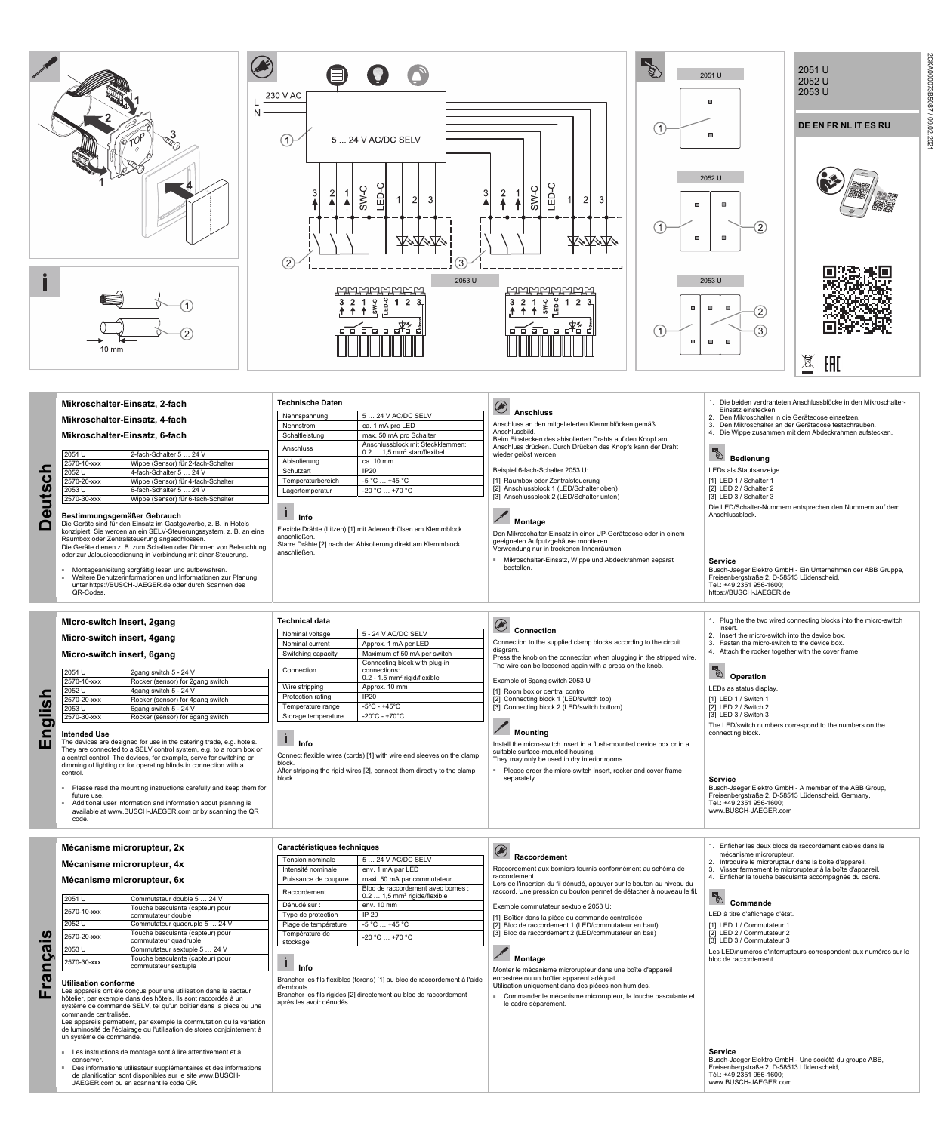# **Deutsch**  euts  $\Box$

2CKA000073B5087 / 09.02.2021

/ 09.02.202

2CKA000073B5087

■ Montageanleitung sorgfältig lesen und aufbewahren.<br>■ Weitere Benutzerinformationen und Informationen zur Planung unter https://BUSCH-JAEGER.de oder durch Scannen des QR-Codes.

| Nennspannung      | 5  24 V AC/DC SELV                                                           |
|-------------------|------------------------------------------------------------------------------|
| Nennstrom         | ca. 1 mA pro LED                                                             |
| Schaltleistung    | max. 50 mA pro Schalter                                                      |
| Anschluss         | Anschlussblock mit Steckklemmen:<br>$0.2 1.5$ mm <sup>2</sup> starr/flexibel |
| Abisolierung      | ca. 10 mm                                                                    |
| Schutzart         | IP20                                                                         |
| Temperaturbereich | $-5^{\circ}$ C  +45 $^{\circ}$ C                                             |
| Lagertemperatur   | $-20 °C  +70 °C$                                                             |

**Bestimmungsgemäßer Gebrauch**  Die Geräte sind für den Einsatz im Gastgewerbe, z. B. in Hotels konzipiert. Sie werden an ein SELV-Steuerungssystem, z. B. an eine Raumbox oder Zentralsteuerung angeschlossen. Die Geräte dienen z. B. zum Schalten oder Dimmen von Beleuchtung oder zur Jalousiebedienung in Verbindung mit einer Steuerung.

2570-30-xxx Wippe (Sensor) für 6-fach-Schalter

 $\sqrt{2}$  **Montage** 



## **Info**

Flexible Drähte (Litzen) [1] mit Aderendhülsen am Klemmblock anschließen. Starre Drähte [2] nach der Abisolierung direkt am Klemmblock anschließen.

- Please read the mounting instructions carefully and keep them for future use.
- Additional user information and information about planning is available at www.BUSCH-JAEGER.com or by scanning the QR code.

| <b>Technical data</b> |                                                                                             |
|-----------------------|---------------------------------------------------------------------------------------------|
| Nominal voltage       | 5 - 24 V AC/DC SELV                                                                         |
| Nominal current       | Approx. 1 mA per LED                                                                        |
| Switching capacity    | Maximum of 50 mA per switch                                                                 |
| Connection            | Connecting block with plug-in<br>connections:<br>$0.2 - 1.5$ mm <sup>2</sup> rigid/flexible |
| Wire stripping        | Approx. 10 mm                                                                               |
| Protection rating     | IP20                                                                                        |
| Temperature range     | $-5^{\circ}$ C - $+45^{\circ}$ C                                                            |
| Storage temperature   | $-20^{\circ}$ C - +70 $^{\circ}$ C                                                          |

## [3] Anschlussblock 2 (LED/Schalter unten)

Den Mikroschalter-Einsatz in einer UP-Gerätedose oder in einem geeigneten Aufputzgehäuse montieren. Verwendung nur in trockenen Innenräumen.

 **Connection**  Connection to the supplied clamp blocks according to the circuit diagram. Press the knob on the connection when plugging in the stripped wire.

■ Mikroschalter-Einsatz, Wippe und Abdeckrahmen separat bestellen.

[1] Room box or central control [2] Connecting block 1 (LED/switch top)<br>[3] Connecting block 2 (LED/switch botto Connecting block 2 (LED/switch bottom)

Install the micro-switch insert in a flush-mounted device box or in a suitable surface-mounted housing. They may only be used in dry interior rooms.

Please order the micro-switch insert, rocker and cover frame separately

- 3. Fasten the micro-switch to the device box.
- 4. Attach the rocker together with the cover frame

*C<sub></sub>* Operation

Die LED/Schalter-Nummern entsprechen den Nummern auf dem

Anschlussblock.

**Service** 

Busch-Jaeger Elektro GmbH - Ein Unternehmen der ABB Gruppe,

Freisenbergstraße 2, D-58513 Lüdenscheid,

Tel.: +49 2351 956-1600; https://BUSCH-JAEGER.de

**Micro-switch insert, 2gang Micro-switch insert, 4gang Micro-switch insert, 6gang** 

2051 U 2gang switch 5 - 24 V 2570-10-xxx Rocker (sensor) for 2gang switch 2052 U 4gang switch 5 - 24 V 2570-20-xxx Rocker (sensor) for 4gang switch 2053 U 6gang switch 5 - 24 V

**Intended Use** 

The devices are designed for use in the catering trade, e.g. hotels. They are connected to a SELV control system, e.g. to a room box or a central control. The devices, for example, serve for switching or dimming of lighting or for operating blinds in connection with a control.

2570-30-xxx Rocker (sensor) for 6gang switch

 **Info** 

Connect flexible wires (cords) [1] with wire end sleeves on the clamp

block.

 $\mathbf{i}$ 

- [1] LED 1 / Commutateur 1
- [2] LED 2 / Commutateur 2
- [3] LED 3 / Commutateur 3

After stripping the rigid wires [2], connect them directly to the clamp

block.

The wire can be loosened again with a press on the knob.

Example of 6gang switch 2053 U

### **Mounting**

1. Plug the the two wired connecting blocks into the micro-switch

insert. 2. Insert the micro-switch into the device box.

LEDs as status display.

[1] LED 1 / Switch 1 [2] LED 2 / Switch 2 [3] LED 3 / Switch 3

The LED/switch numbers correspond to the numbers on the connecting block.

### **Service**

Busch-Jaeger Elektro GmbH - A member of the ABB Group, Freisenbergstraße 2, D-58513 Lüdenscheid, Germany, Tel.: +49 2351 956-1600; www.BUSCH-JAEGER.com

**Français** 

**Mécanisme microrupteur, 2x** 

#### **Mécanisme microrupteur, 4x**

**Mécanisme microrupteur, 6x** 

| 2051 U      | Commutateur double 5  24 V                                |
|-------------|-----------------------------------------------------------|
| 2570-10-xxx | Touche basculante (capteur) pour<br>commutateur double    |
| 2052 U      | Commutateur quadruple 5  24 V                             |
| 2570-20-xxx | Touche basculante (capteur) pour<br>commutateur quadruple |
| 2053 U      | Commutateur sextuple 5  24 V                              |
| 2570-30-xxx | Touche basculante (capteur) pour<br>commutateur sextuple  |

| <b>Utilisation conforme</b> |  |
|-----------------------------|--|
|-----------------------------|--|

Les appareils ont été conçus pour une utilisation dans le secteur hôtelier, par exemple dans des hôtels. Ils sont raccordés à un système de commande SELV, tel qu'un boîtier dans la pièce ou une commande centralisée.

Les appareils permettent, par exemple la commutation ou la variation de luminosité de l'éclairage ou l'utilisation de stores conjointement à un système de commande.

- Les instructions de montage sont à lire attentivement et à conserver.
- Des informations utilisateur supplémentaires et des informations de planification sont disponibles sur le site www.BUSCH-JAEGER.com ou en scannant le code QR.

**Caractéristiques techniques** 

| Tension nominale           | 5  24 V AC/DC SELV                                                              |
|----------------------------|---------------------------------------------------------------------------------|
| Intensité nominale         | env. 1 mA par LED                                                               |
| Puissance de coupure       | maxi. 50 mA par commutateur                                                     |
| Raccordement               | Bloc de raccordement avec bornes :<br>$0.2 1.5$ mm <sup>2</sup> rigide/flexible |
| Dénudé sur :               | $env. 10$ mm                                                                    |
| Type de protection         | IP 20                                                                           |
| Plage de température       | $-5^{\circ}$ C  +45 $^{\circ}$ C                                                |
| Température de<br>stockage | $-20 °C  +70 °C$                                                                |
|                            |                                                                                 |

 **Info** 

Brancher les fils flexibles (torons) [1] au bloc de raccordement à l'aide

d'embouts.

après les avoir dénudés

 $\odot$ 

Brancher les fils rigides [2] directement au bloc de raccordement

#### **Raccordement**

Raccordement aux borniers fournis conformément au schéma de raccordement.

Lors de l'insertion du fil dénudé, appuyer sur le bouton au niveau du raccord. Une pression du bouton permet de détacher à nouveau le fil.

Exemple commutateur sextuple 2053 U:

[1] Boîtier dans la pièce ou commande centralisée [2] Bloc de raccordement 1 (LED/commutateur en haut) [3] Bloc de raccordement 2 (LED/commutateur en bas)

### **Montage**

Monter le mécanisme microrupteur dans une boîte d'appareil encastrée ou un boîtier apparent adéquat. Utilisation uniquement dans des pièces non humides.

■ Commander le mécanisme microrupteur, la touche basculante et le cadre séparément.

1. Enficher les deux blocs de raccordement câblés dans le mécanisme microrupteur.

- 2. Introduire le microrupteur dans la boîte d'appareil.
- 3. Visser fermement le microrupteur à la boîte d'appareil.
- 4. Enficher la touche basculante accompagnée du cadre.

# **Commande**

LED à titre d'affichage d'état.

Les LED/numéros d'interrupteurs correspondent aux numéros sur le bloc de raccordement.

**Service**  Busch-Jaeger Elektro GmbH - Une société du groupe ABB, Freisenbergstraße 2, D-58513 Lüdenscheid, Tél.: +49 2351 956-1600; www.BUSCH-JAEGER.com